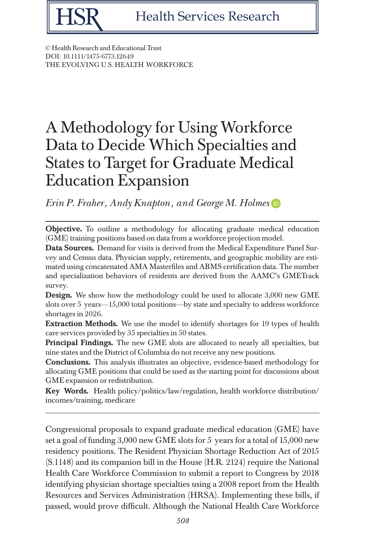## Health Services Research

© Health Research and Educational Trust DOI: 10.1111/1475-6773.12649 THE EVOLVING U.S. HEALTH WORKFORCE

# A Methodology for Using Workforce Data to Decide Which Specialties and States to Target for Graduate Medical Education Expansion

Erin P. Fraher, Andy Knapton, and George M. Holmes

Objective. To outline a methodology for allocating graduate medical education (GME) training positions based on data from a workforce projection model.

Data Sources. Demand for visits is derived from the Medical Expenditure Panel Survey and Census data. Physician supply, retirements, and geographic mobility are estimated using concatenated AMA Masterfiles and ABMS certification data. The number and specialization behaviors of residents are derived from the AAMC's GMETrack survey.

**Design.** We show how the methodology could be used to allocate 3,000 new GME slots over 5 years—15,000 total positions—by state and specialty to address workforce shortages in 2026.

Extraction Methods. We use the model to identify shortages for 19 types of health care services provided by 35 specialties in 50 states.

**Principal Findings.** The new GME slots are allocated to nearly all specialties, but nine states and the District of Columbia do not receive any new positions.

Conclusions. This analysis illustrates an objective, evidence-based methodology for allocating GME positions that could be used as the starting point for discussions about GME expansion or redistribution.

Key Words. Health policy/politics/law/regulation, health workforce distribution/ incomes/training, medicare

Congressional proposals to expand graduate medical education (GME) have set a goal of funding 3,000 new GME slots for 5 years for a total of 15,000 new residency positions. The Resident Physician Shortage Reduction Act of 2015 (S.1148) and its companion bill in the House (H.R. 2124) require the National Health Care Workforce Commission to submit a report to Congress by 2018 identifying physician shortage specialties using a 2008 report from the Health Resources and Services Administration (HRSA). Implementing these bills, if passed, would prove difficult. Although the National Health Care Workforce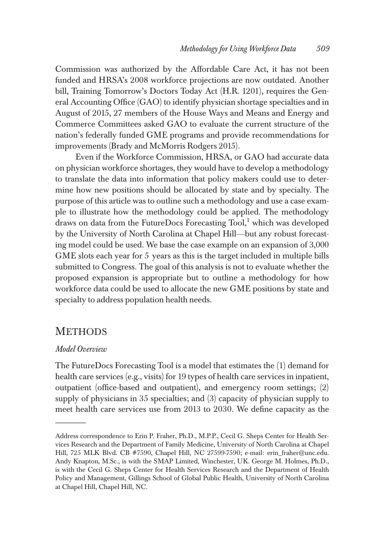Commission was authorized by the Affordable Care Act, it has not been funded and HRSA's 2008 workforce projections are now outdated. Another bill, Training Tomorrow's Doctors Today Act (H.R. 1201), requires the General Accounting Office (GAO) to identify physician shortage specialties and in August of 2015, 27 members of the House Ways and Means and Energy and Commerce Committees asked GAO to evaluate the current structure of the nation's federally funded GME programs and provide recommendations for improvements (Brady and McMorris Rodgers 2015).

Even if the Workforce Commission, HRSA, or GAO had accurate data on physician workforce shortages, they would have to develop a methodology to translate the data into information that policy makers could use to determine how new positions should be allocated by state and by specialty. The purpose of this article was to outline such a methodology and use a case example to illustrate how the methodology could be applied. The methodology draws on data from the FutureDocs Forecasting  $Tool<sub>i</sub><sup>1</sup>$  which was developed by the University of North Carolina at Chapel Hill—but any robust forecasting model could be used. We base the case example on an expansion of 3,000 GME slots each year for 5 years as this is the target included in multiple bills submitted to Congress. The goal of this analysis is not to evaluate whether the proposed expansion is appropriate but to outline a methodology for how workforce data could be used to allocate the new GME positions by state and specialty to address population health needs.

## **METHODS**

#### Model Overview

The FutureDocs Forecasting Tool is a model that estimates the (1) demand for health care services (e.g., visits) for 19 types of health care services in inpatient, outpatient (office-based and outpatient), and emergency room settings; (2) supply of physicians in 35 specialties; and (3) capacity of physician supply to meet health care services use from 2013 to 2030. We define capacity as the

Address correspondence to Erin P. Fraher, Ph.D., M.P.P., Cecil G. Sheps Center for Health Services Research and the Department of Family Medicine, University of North Carolina at Chapel Hill, 725 MLK Blvd. CB #7590, Chapel Hill, NC 27599-7590; e-mail: erin\_fraher@unc.edu. Andy Knapton, M.Sc., is with the SMAP Limited, Winchester, UK. George M. Holmes, Ph.D., is with the Cecil G. Sheps Center for Health Services Research and the Department of Health Policy and Management, Gillings School of Global Public Health, University of North Carolina at Chapel Hill, Chapel Hill, NC.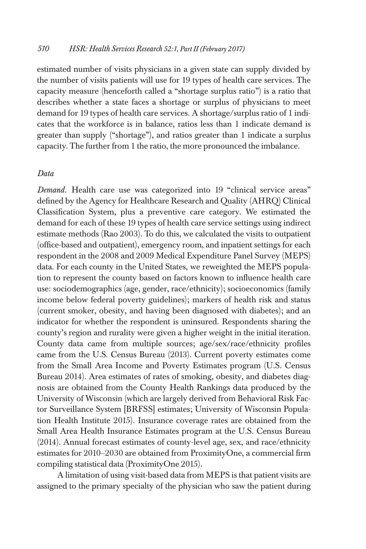estimated number of visits physicians in a given state can supply divided by the number of visits patients will use for 19 types of health care services. The capacity measure (henceforth called a "shortage surplus ratio") is a ratio that describes whether a state faces a shortage or surplus of physicians to meet demand for 19 types of health care services. A shortage/surplus ratio of 1 indicates that the workforce is in balance, ratios less than 1 indicate demand is greater than supply ("shortage"), and ratios greater than 1 indicate a surplus capacity. The further from 1 the ratio, the more pronounced the imbalance.

#### Data

Demand. Health care use was categorized into 19 "clinical service areas" defined by the Agency for Healthcare Research and Quality (AHRQ) Clinical Classification System, plus a preventive care category. We estimated the demand for each of these 19 types of health care service settings using indirect estimate methods (Rao 2003). To do this, we calculated the visits to outpatient (office-based and outpatient), emergency room, and inpatient settings for each respondent in the 2008 and 2009 Medical Expenditure Panel Survey (MEPS) data. For each county in the United States, we reweighted the MEPS population to represent the county based on factors known to influence health care use: sociodemographics (age, gender, race/ethnicity); socioeconomics (family income below federal poverty guidelines); markers of health risk and status (current smoker, obesity, and having been diagnosed with diabetes); and an indicator for whether the respondent is uninsured. Respondents sharing the county's region and rurality were given a higher weight in the initial iteration. County data came from multiple sources; age/sex/race/ethnicity profiles came from the U.S. Census Bureau (2013). Current poverty estimates come from the Small Area Income and Poverty Estimates program (U.S. Census Bureau 2014). Area estimates of rates of smoking, obesity, and diabetes diagnosis are obtained from the County Health Rankings data produced by the University of Wisconsin (which are largely derived from Behavioral Risk Factor Surveillance System [BRFSS] estimates; University of Wisconsin Population Health Institute 2015). Insurance coverage rates are obtained from the Small Area Health Insurance Estimates program at the U.S. Census Bureau (2014). Annual forecast estimates of county-level age, sex, and race/ethnicity estimates for 2010–2030 are obtained from ProximityOne, a commercial firm compiling statistical data (ProximityOne 2015).

A limitation of using visit-based data from MEPS is that patient visits are assigned to the primary specialty of the physician who saw the patient during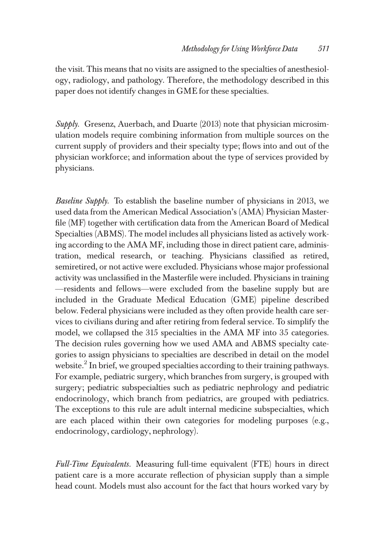the visit. This means that no visits are assigned to the specialties of anesthesiology, radiology, and pathology. Therefore, the methodology described in this paper does not identify changes in GME for these specialties.

Supply. Gresenz, Auerbach, and Duarte (2013) note that physician microsimulation models require combining information from multiple sources on the current supply of providers and their specialty type; flows into and out of the physician workforce; and information about the type of services provided by physicians.

*Baseline Supply*. To establish the baseline number of physicians in 2013, we used data from the American Medical Association's (AMA) Physician Masterfile (MF) together with certification data from the American Board of Medical Specialties (ABMS). The model includes all physicians listed as actively working according to the AMA MF, including those in direct patient care, administration, medical research, or teaching. Physicians classified as retired, semiretired, or not active were excluded. Physicians whose major professional activity was unclassified in the Masterfile were included. Physicians in training —residents and fellows—were excluded from the baseline supply but are included in the Graduate Medical Education (GME) pipeline described below. Federal physicians were included as they often provide health care services to civilians during and after retiring from federal service. To simplify the model, we collapsed the 315 specialties in the AMA MF into 35 categories. The decision rules governing how we used AMA and ABMS specialty categories to assign physicians to specialties are described in detail on the model website.<sup>2</sup> In brief, we grouped specialties according to their training pathways. For example, pediatric surgery, which branches from surgery, is grouped with surgery; pediatric subspecialties such as pediatric nephrology and pediatric endocrinology, which branch from pediatrics, are grouped with pediatrics. The exceptions to this rule are adult internal medicine subspecialties, which are each placed within their own categories for modeling purposes (e.g., endocrinology, cardiology, nephrology).

Full-Time Equivalents. Measuring full-time equivalent (FTE) hours in direct patient care is a more accurate reflection of physician supply than a simple head count. Models must also account for the fact that hours worked vary by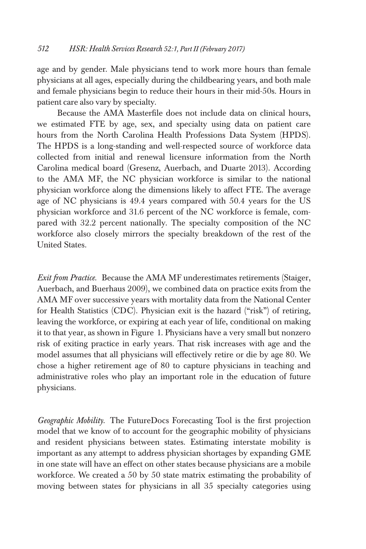age and by gender. Male physicians tend to work more hours than female physicians at all ages, especially during the childbearing years, and both male and female physicians begin to reduce their hours in their mid-50s. Hours in patient care also vary by specialty.

Because the AMA Masterfile does not include data on clinical hours, we estimated FTE by age, sex, and specialty using data on patient care hours from the North Carolina Health Professions Data System (HPDS). The HPDS is a long-standing and well-respected source of workforce data collected from initial and renewal licensure information from the North Carolina medical board (Gresenz, Auerbach, and Duarte 2013). According to the AMA MF, the NC physician workforce is similar to the national physician workforce along the dimensions likely to affect FTE. The average age of NC physicians is 49.4 years compared with 50.4 years for the US physician workforce and 31.6 percent of the NC workforce is female, compared with 32.2 percent nationally. The specialty composition of the NC workforce also closely mirrors the specialty breakdown of the rest of the United States.

*Exit from Practice.* Because the AMA MF underestimates retirements (Staiger, Auerbach, and Buerhaus 2009), we combined data on practice exits from the AMA MF over successive years with mortality data from the National Center for Health Statistics (CDC). Physician exit is the hazard ("risk") of retiring, leaving the workforce, or expiring at each year of life, conditional on making it to that year, as shown in Figure 1. Physicians have a very small but nonzero risk of exiting practice in early years. That risk increases with age and the model assumes that all physicians will effectively retire or die by age 80. We chose a higher retirement age of 80 to capture physicians in teaching and administrative roles who play an important role in the education of future physicians.

Geographic Mobility. The FutureDocs Forecasting Tool is the first projection model that we know of to account for the geographic mobility of physicians and resident physicians between states. Estimating interstate mobility is important as any attempt to address physician shortages by expanding GME in one state will have an effect on other states because physicians are a mobile workforce. We created a 50 by 50 state matrix estimating the probability of moving between states for physicians in all 35 specialty categories using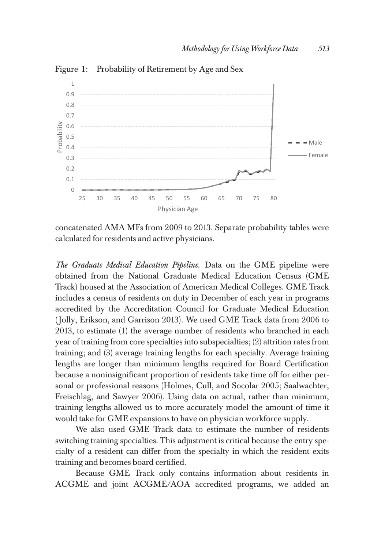

Figure 1: Probability of Retirement by Age and Sex

concatenated AMA MFs from 2009 to 2013. Separate probability tables were calculated for residents and active physicians.

The Graduate Medical Education Pipeline. Data on the GME pipeline were obtained from the National Graduate Medical Education Census (GME Track) housed at the Association of American Medical Colleges. GME Track includes a census of residents on duty in December of each year in programs accredited by the Accreditation Council for Graduate Medical Education ( Jolly, Erikson, and Garrison 2013). We used GME Track data from 2006 to 2013, to estimate (1) the average number of residents who branched in each year of training from core specialties into subspecialties; (2) attrition rates from training; and (3) average training lengths for each specialty. Average training lengths are longer than minimum lengths required for Board Certification because a noninsignificant proportion of residents take time off for either personal or professional reasons (Holmes, Cull, and Socolar 2005; Saalwachter, Freischlag, and Sawyer 2006). Using data on actual, rather than minimum, training lengths allowed us to more accurately model the amount of time it would take for GME expansions to have on physician workforce supply.

We also used GME Track data to estimate the number of residents switching training specialties. This adjustment is critical because the entry specialty of a resident can differ from the specialty in which the resident exits training and becomes board certified.

Because GME Track only contains information about residents in ACGME and joint ACGME/AOA accredited programs, we added an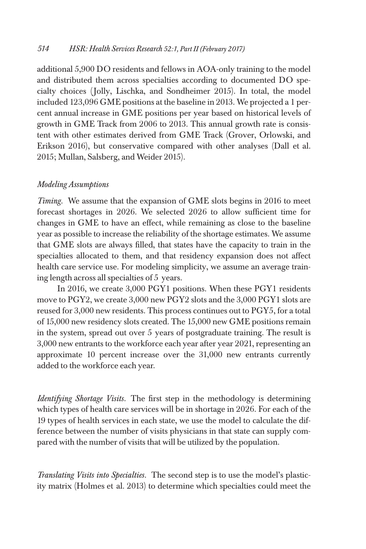additional 5,900 DO residents and fellows in AOA-only training to the model and distributed them across specialties according to documented DO specialty choices ( Jolly, Lischka, and Sondheimer 2015). In total, the model included 123,096 GME positions at the baseline in 2013. We projected a 1 percent annual increase in GME positions per year based on historical levels of growth in GME Track from 2006 to 2013. This annual growth rate is consistent with other estimates derived from GME Track (Grover, Orlowski, and Erikson 2016), but conservative compared with other analyses (Dall et al. 2015; Mullan, Salsberg, and Weider 2015).

#### Modeling Assumptions

Timing. We assume that the expansion of GME slots begins in 2016 to meet forecast shortages in 2026. We selected 2026 to allow sufficient time for changes in GME to have an effect, while remaining as close to the baseline year as possible to increase the reliability of the shortage estimates. We assume that GME slots are always filled, that states have the capacity to train in the specialties allocated to them, and that residency expansion does not affect health care service use. For modeling simplicity, we assume an average training length across all specialties of 5 years.

In 2016, we create 3,000 PGY1 positions. When these PGY1 residents move to PGY2, we create 3,000 new PGY2 slots and the 3,000 PGY1 slots are reused for 3,000 new residents. This process continues out to PGY5, for a total of 15,000 new residency slots created. The 15,000 new GME positions remain in the system, spread out over 5 years of postgraduate training. The result is 3,000 new entrants to the workforce each year after year 2021, representing an approximate 10 percent increase over the 31,000 new entrants currently added to the workforce each year.

Identifying Shortage Visits. The first step in the methodology is determining which types of health care services will be in shortage in 2026. For each of the 19 types of health services in each state, we use the model to calculate the difference between the number of visits physicians in that state can supply compared with the number of visits that will be utilized by the population.

Translating Visits into Specialties. The second step is to use the model's plasticity matrix (Holmes et al. 2013) to determine which specialties could meet the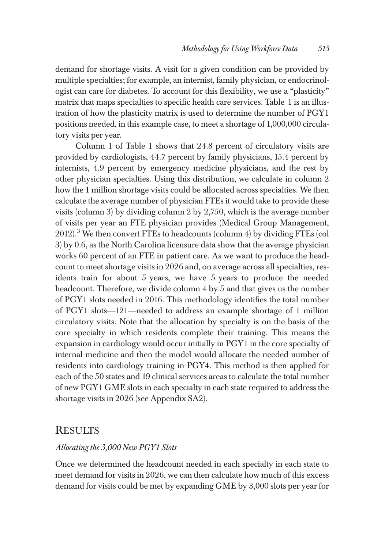demand for shortage visits. A visit for a given condition can be provided by multiple specialties; for example, an internist, family physician, or endocrinologist can care for diabetes. To account for this flexibility, we use a "plasticity" matrix that maps specialties to specific health care services. Table 1 is an illustration of how the plasticity matrix is used to determine the number of PGY1 positions needed, in this example case, to meet a shortage of 1,000,000 circulatory visits per year.

Column 1 of Table 1 shows that 24.8 percent of circulatory visits are provided by cardiologists, 44.7 percent by family physicians, 15.4 percent by internists, 4.9 percent by emergency medicine physicians, and the rest by other physician specialties. Using this distribution, we calculate in column 2 how the 1 million shortage visits could be allocated across specialties. We then calculate the average number of physician FTEs it would take to provide these visits (column 3) by dividing column 2 by 2,750, which is the average number of visits per year an FTE physician provides (Medical Group Management,  $2012$ ).<sup>3</sup> We then convert FTEs to headcounts (column 4) by dividing FTEs (col 3) by 0.6, as the North Carolina licensure data show that the average physician works 60 percent of an FTE in patient care. As we want to produce the headcount to meet shortage visits in 2026 and, on average across all specialties, residents train for about 5 years, we have 5 years to produce the needed headcount. Therefore, we divide column 4 by 5 and that gives us the number of PGY1 slots needed in 2016. This methodology identifies the total number of PGY1 slots—121—needed to address an example shortage of 1 million circulatory visits. Note that the allocation by specialty is on the basis of the core specialty in which residents complete their training. This means the expansion in cardiology would occur initially in PGY1 in the core specialty of internal medicine and then the model would allocate the needed number of residents into cardiology training in PGY4. This method is then applied for each of the 50 states and 19 clinical services areas to calculate the total number of new PGY1 GME slots in each specialty in each state required to address the shortage visits in 2026 (see Appendix SA2).

### RESULTS

#### Allocating the 3,000 New PGY1 Slots

Once we determined the headcount needed in each specialty in each state to meet demand for visits in 2026, we can then calculate how much of this excess demand for visits could be met by expanding GME by 3,000 slots per year for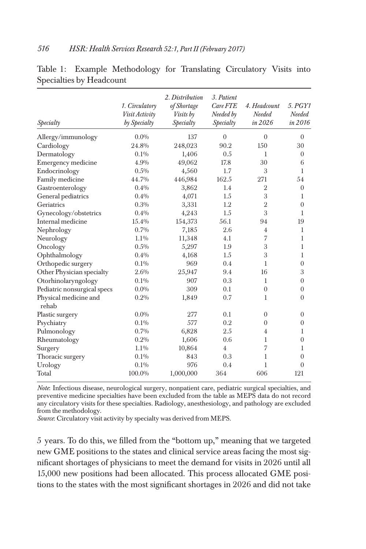| Specialty                      | 1. Circulatory<br>Visit Activity<br>by Specialty | 2. Distribution<br>of Shortage<br>Visits by<br>Specialty | 3. Patient<br>Care FTE<br>Needed by<br>Specialty | 4. Headcount<br>Needed<br>in 2026 | 5. PGY1<br>Needed<br>in 2016 |
|--------------------------------|--------------------------------------------------|----------------------------------------------------------|--------------------------------------------------|-----------------------------------|------------------------------|
| Allergy/immunology             | $0.0\%$                                          | 137                                                      | $\theta$                                         | $\theta$                          | $\mathbf{0}$                 |
| Cardiology                     | 24.8%                                            | 248,023                                                  | 90.2                                             | 150                               | 30                           |
| Dermatology                    | 0.1%                                             | 1,406                                                    | 0.5                                              | 1                                 | $\mathbf{0}$                 |
| Emergency medicine             | 4.9%                                             | 49,062                                                   | 17.8                                             | 30                                | 6                            |
| Endocrinology                  | 0.5%                                             | 4,560                                                    | 1.7                                              | 3                                 | 1                            |
| Family medicine                | 44.7%                                            | 446,984                                                  | 162.5                                            | 271                               | 54                           |
| Gastroenterology               | 0.4%                                             | 3,862                                                    | 1.4                                              | $\overline{2}$                    | $\mathbf{0}$                 |
| General pediatrics             | 0.4%                                             | 4,071                                                    | 1.5                                              | 3                                 | 1                            |
| Geriatrics                     | 0.3%                                             | 3,331                                                    | 1.2                                              | $\overline{2}$                    | $\mathbf{0}$                 |
| Gynecology/obstetrics          | 0.4%                                             | 4,243                                                    | 1.5                                              | 3                                 | 1                            |
| Internal medicine              | 15.4%                                            | 154,373                                                  | 56.1                                             | 94                                | 19                           |
| Nephrology                     | 0.7%                                             | 7,185                                                    | 2.6                                              | $\overline{4}$                    | 1                            |
| Neurology                      | $1.1\%$                                          | 11,348                                                   | 4.1                                              | 7                                 | 1                            |
| Oncology                       | $0.5\%$                                          | 5,297                                                    | 1.9                                              | 3                                 | 1                            |
| Ophthalmology                  | 0.4%                                             | 4,168                                                    | 1.5                                              | 3                                 | 1                            |
| Orthopedic surgery             | $0.1\%$                                          | 969                                                      | 0.4                                              | 1                                 | $\theta$                     |
| Other Physician specialty      | 2.6%                                             | 25,947                                                   | 9.4                                              | 16                                | 3                            |
| Otorhinolaryngology            | 0.1%                                             | 907                                                      | 0.3                                              | 1                                 | $\mathbf{0}$                 |
| Pediatric nonsurgical specs    | $0.0\%$                                          | 309                                                      | 0.1                                              | $\mathbf{0}$                      | $\mathbf{0}$                 |
| Physical medicine and<br>rehab | 0.2%                                             | 1,849                                                    | 0.7                                              | 1                                 | $\mathbf{0}$                 |
| Plastic surgery                | $0.0\%$                                          | 277                                                      | 0.1                                              | $\mathbf{0}$                      | $\mathbf{0}$                 |
| Psychiatry                     | 0.1%                                             | 577                                                      | 0.2                                              | $\mathbf{0}$                      | $\boldsymbol{0}$             |
| Pulmonology                    | 0.7%                                             | 6,828                                                    | 2.5                                              | 4                                 | 1                            |
| Rheumatology                   | 0.2%                                             | 1,606                                                    | 0.6                                              | 1                                 | $\mathbf{0}$                 |
| Surgery                        | $1.1\%$                                          | 10,864                                                   | $\overline{4}$                                   | 7                                 | 1                            |
| Thoracic surgery               | 0.1%                                             | 843                                                      | 0.3                                              | 1                                 | $\mathbf{0}$                 |
| Urology                        | 0.1%                                             | 976                                                      | 0.4                                              | 1                                 | $\theta$                     |
| Total                          | 100.0%                                           | 1,000,000                                                | 364                                              | 606                               | 121                          |

Table 1: Example Methodology for Translating Circulatory Visits into Specialties by Headcount

Note: Infectious disease, neurological surgery, nonpatient care, pediatric surgical specialties, and preventive medicine specialties have been excluded from the table as MEPS data do not record any circulatory visits for these specialties. Radiology, anesthesiology, and pathology are excluded from the methodology.

Source: Circulatory visit activity by specialty was derived from MEPS.

5 years. To do this, we filled from the "bottom up," meaning that we targeted new GME positions to the states and clinical service areas facing the most significant shortages of physicians to meet the demand for visits in 2026 until all 15,000 new positions had been allocated. This process allocated GME positions to the states with the most significant shortages in 2026 and did not take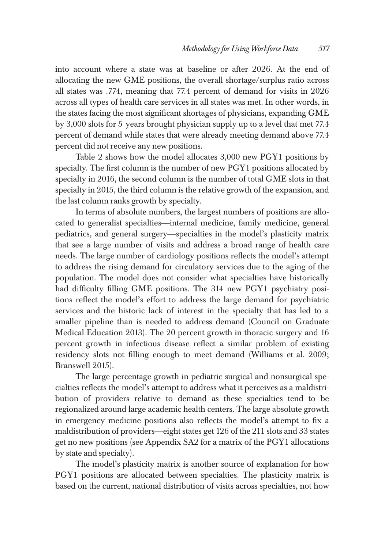into account where a state was at baseline or after 2026. At the end of allocating the new GME positions, the overall shortage/surplus ratio across all states was .774, meaning that 77.4 percent of demand for visits in 2026 across all types of health care services in all states was met. In other words, in the states facing the most significant shortages of physicians, expanding GME by 3,000 slots for 5 years brought physician supply up to a level that met 77.4 percent of demand while states that were already meeting demand above 77.4 percent did not receive any new positions.

Table 2 shows how the model allocates 3,000 new PGY1 positions by specialty. The first column is the number of new PGY1 positions allocated by specialty in 2016, the second column is the number of total GME slots in that specialty in 2015, the third column is the relative growth of the expansion, and the last column ranks growth by specialty.

In terms of absolute numbers, the largest numbers of positions are allocated to generalist specialties—internal medicine, family medicine, general pediatrics, and general surgery—specialties in the model's plasticity matrix that see a large number of visits and address a broad range of health care needs. The large number of cardiology positions reflects the model's attempt to address the rising demand for circulatory services due to the aging of the population. The model does not consider what specialties have historically had difficulty filling GME positions. The 314 new PGY1 psychiatry positions reflect the model's effort to address the large demand for psychiatric services and the historic lack of interest in the specialty that has led to a smaller pipeline than is needed to address demand (Council on Graduate Medical Education 2013). The 20 percent growth in thoracic surgery and 16 percent growth in infectious disease reflect a similar problem of existing residency slots not filling enough to meet demand (Williams et al. 2009; Branswell 2015).

The large percentage growth in pediatric surgical and nonsurgical specialties reflects the model's attempt to address what it perceives as a maldistribution of providers relative to demand as these specialties tend to be regionalized around large academic health centers. The large absolute growth in emergency medicine positions also reflects the model's attempt to fix a maldistribution of providers—eight states get 126 of the 211 slots and 33 states get no new positions (see Appendix SA2 for a matrix of the PGY1 allocations by state and specialty).

The model's plasticity matrix is another source of explanation for how PGY1 positions are allocated between specialties. The plasticity matrix is based on the current, national distribution of visits across specialties, not how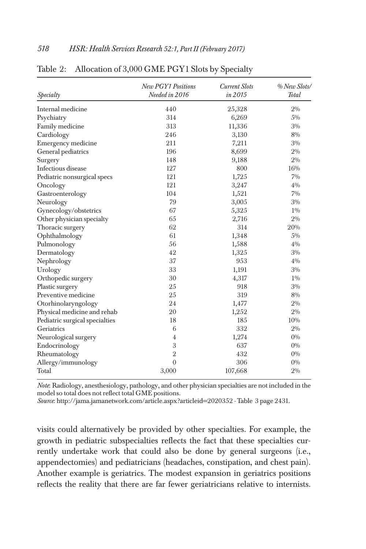| Specialty                      | <b>New PGY1 Positions</b><br>Needed in 2016 | <b>Current Slots</b><br>in 2015 | % New Slots/<br><b>Total</b> |
|--------------------------------|---------------------------------------------|---------------------------------|------------------------------|
| Internal medicine              | 440                                         | 25,328                          | 2%                           |
| Psychiatry                     | 314                                         | 6,269                           | $5\%$                        |
| Family medicine                | 313                                         | 11,336                          | 3%                           |
| Cardiology                     | 246                                         | 3,130                           | 8%                           |
| Emergency medicine             | 211                                         | 7,211                           | 3%                           |
| General pediatrics             | 196                                         | 8,699                           | 2%                           |
| Surgery                        | 148                                         | 9,188                           | 2%                           |
| Infectious disease             | 127                                         | 800                             | 16%                          |
| Pediatric nonsurgical specs    | 121                                         | 1,725                           | 70/0                         |
| Oncology                       | 121                                         | 3,247                           | 4%                           |
| Gastroenterology               | 104                                         | 1,521                           | $7\%$                        |
| Neurology                      | 79                                          | 3,005                           | 3%                           |
| Gynecology/obstetrics          | 67                                          | 5,325                           | $1\%$                        |
| Other physician specialty      | 65                                          | 2,716                           | 2%                           |
| Thoracic surgery               | 62                                          | 314                             | 20%                          |
| Ophthalmology                  | 61                                          | 1,348                           | $5\%$                        |
| Pulmonology                    | 56                                          | 1,588                           | $4\%$                        |
| Dermatology                    | 42                                          | 1,325                           | 3%                           |
| Nephrology                     | 37                                          | 953                             | $4\%$                        |
| Urology                        | 33                                          | 1,191                           | 3%                           |
| Orthopedic surgery             | 30                                          | 4,317                           | $1\%$                        |
| Plastic surgery                | 25                                          | 918                             | 3%                           |
| Preventive medicine            | 25                                          | 319                             | 8%                           |
| Otorhinolaryngology            | 24                                          | 1,477                           | 2%                           |
| Physical medicine and rehab    | 20                                          | 1,252                           | 2%                           |
| Pediatric surgical specialties | 18                                          | 185                             | 10%                          |
| Geriatrics                     | 6                                           | 332                             | 2%                           |
| Neurological surgery           | $\overline{4}$                              | 1,274                           | 0%                           |
| Endocrinology                  | 3                                           | 637                             | 0%                           |
| Rheumatology                   | $\overline{2}$                              | 432                             | $0\%$                        |
| Allergy/immunology             | $\theta$                                    | 306                             | $0\%$                        |
| Total                          | 3,000                                       | 107,668                         | 2%                           |

Table 2: Allocation of 3,000 GME PGY1 Slots by Specialty

Note: Radiology, anesthesiology, pathology, and other physician specialties are not included in the model so total does not reflect total GME positions.

Source:<http://jama.jamanetwork.com/article.aspx?articleid=2020352> -Table 3 page 2431.

visits could alternatively be provided by other specialties. For example, the growth in pediatric subspecialties reflects the fact that these specialties currently undertake work that could also be done by general surgeons (i.e., appendectomies) and pediatricians (headaches, constipation, and chest pain). Another example is geriatrics. The modest expansion in geriatrics positions reflects the reality that there are far fewer geriatricians relative to internists.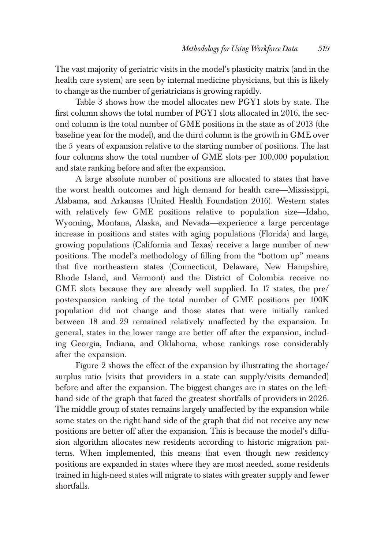The vast majority of geriatric visits in the model's plasticity matrix (and in the health care system) are seen by internal medicine physicians, but this is likely to change as the number of geriatricians is growing rapidly.

Table 3 shows how the model allocates new PGY1 slots by state. The first column shows the total number of PGY1 slots allocated in 2016, the second column is the total number of GME positions in the state as of 2013 (the baseline year for the model), and the third column is the growth in GME over the 5 years of expansion relative to the starting number of positions. The last four columns show the total number of GME slots per 100,000 population and state ranking before and after the expansion.

A large absolute number of positions are allocated to states that have the worst health outcomes and high demand for health care—Mississippi, Alabama, and Arkansas (United Health Foundation 2016). Western states with relatively few GME positions relative to population size—Idaho, Wyoming, Montana, Alaska, and Nevada—experience a large percentage increase in positions and states with aging populations (Florida) and large, growing populations (California and Texas) receive a large number of new positions. The model's methodology of filling from the "bottom up" means that five northeastern states (Connecticut, Delaware, New Hampshire, Rhode Island, and Vermont) and the District of Colombia receive no GME slots because they are already well supplied. In 17 states, the pre/ postexpansion ranking of the total number of GME positions per 100K population did not change and those states that were initially ranked between 18 and 29 remained relatively unaffected by the expansion. In general, states in the lower range are better off after the expansion, including Georgia, Indiana, and Oklahoma, whose rankings rose considerably after the expansion.

Figure 2 shows the effect of the expansion by illustrating the shortage/ surplus ratio (visits that providers in a state can supply/visits demanded) before and after the expansion. The biggest changes are in states on the lefthand side of the graph that faced the greatest shortfalls of providers in 2026. The middle group of states remains largely unaffected by the expansion while some states on the right-hand side of the graph that did not receive any new positions are better off after the expansion. This is because the model's diffusion algorithm allocates new residents according to historic migration patterns. When implemented, this means that even though new residency positions are expanded in states where they are most needed, some residents trained in high-need states will migrate to states with greater supply and fewer shortfalls.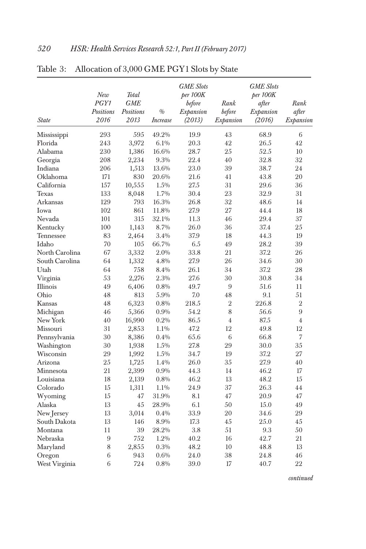| <b>State</b>   | New<br>PGY1<br>Positions<br>2016 | <b>Total</b><br>GME<br>Positions<br>2013 | $\%$<br><b>Increase</b> | <b>GME Slots</b><br>per 100K<br>before<br>Expansion<br>(2013) | Rank<br>before<br>Expansion | <b>GME Slots</b><br>per 100K<br>after<br>Expansion<br>(2016) | Rank<br>after<br>Expansion |
|----------------|----------------------------------|------------------------------------------|-------------------------|---------------------------------------------------------------|-----------------------------|--------------------------------------------------------------|----------------------------|
| Mississippi    | 293                              | 595                                      | 49.2%                   | 19.9                                                          | 43                          | 68.9                                                         | 6                          |
| Florida        | 243                              | 3,972                                    | 6.1%                    | 20.3                                                          | 42                          | 26.5                                                         | 42                         |
| Alabama        | 230                              | 1,386                                    | 16.6%                   | 28.7                                                          | 25                          | 52.5                                                         | 10                         |
| Georgia        | 208                              | 2,234                                    | 9.3%                    | 22.4                                                          | 40                          | 32.8                                                         | 32                         |
| Indiana        | 206                              | 1,513                                    | 13.6%                   | 23.0                                                          | 39                          | 38.7                                                         | 24                         |
| Oklahoma.      | 171                              | 830                                      | 20.6%                   | 21.6                                                          | 41                          | 43.8                                                         | 20                         |
| California     | 157                              | 10,555                                   | 1.5%                    | 27.5                                                          | 31                          | 29.6                                                         | 36                         |
| Texas          | 133                              | 8,048                                    | $1.7\%$                 | 30.4                                                          | 23                          | 32.9                                                         | 31                         |
| Arkansas       | 129                              | 793                                      | 16.3%                   | 26.8                                                          | 32                          | 48.6                                                         | 14                         |
| Iowa           | 102                              | 861                                      | 11.8%                   | 27.9                                                          | 27                          | 44.4                                                         | 18                         |
| Nevada         | 101                              | 315                                      | 32.1%                   | 11.3                                                          | 46                          | 29.4                                                         | 37                         |
| Kentucky       | 100                              | 1,143                                    | 8.7%                    | 26.0                                                          | 36                          | 37.4                                                         | 25                         |
| Tennessee      | 83                               | 2,464                                    | 3.4%                    | 37.9                                                          | 18                          | 44.3                                                         | 19                         |
| Idaho          | 70                               | 105                                      | 66.7%                   | 6.5                                                           | 49                          | 28.2                                                         | 39                         |
| North Carolina | 67                               | 3,332                                    | 2.0%                    | 33.8                                                          | 21                          | 37.2                                                         | 26                         |
| South Carolina | 64                               | 1,332                                    | 4.8%                    | 27.9                                                          | 26                          | 34.6                                                         | 30                         |
| Utah           | 64                               | 758                                      | 8.4%                    | 26.1                                                          | 34                          | 37.2                                                         | 28                         |
| Virginia       | 53                               | 2,276                                    | 2.3%                    | 27.6                                                          | 30                          | 30.8                                                         | 34                         |
| Illinois       | 49                               | 6,406                                    | 0.8%                    | 49.7                                                          | 9                           | 51.6                                                         | 11                         |
| Ohio           | 48                               | 813                                      | 5.9%                    | 7.0                                                           | 48                          | 9.1                                                          | 51                         |
| Kansas         | 48                               | 6,323                                    | 0.8%                    | 218.5                                                         | $\overline{2}$              | 226.8                                                        | $\overline{2}$             |
| Michigan       | 46                               | 5,366                                    | 0.9%                    | 54.2                                                          | 8                           | 56.6                                                         | 9                          |
| New York       | 40                               | 16,990                                   | 0.2%                    | 86.5                                                          | $\overline{4}$              | 87.5                                                         | $\overline{4}$             |
| Missouri       | 31                               | 2,853                                    | 1.1%                    | 47.2                                                          | 12                          | 49.8                                                         | 12                         |
| Pennsylvania   | 30                               | 8,386                                    | 0.4%                    | 65.6                                                          | 6                           | 66.8                                                         | 7                          |
| Washington     | 30                               | 1,938                                    | 1.5%                    | 27.8                                                          | 29                          | 30.0                                                         | 35                         |
| Wisconsin      | 29                               | 1,992                                    | 1.5%                    | 34.7                                                          | 19                          | 37.2                                                         | 27                         |
| Arizona        | 25                               | 1,725                                    | 1.4%                    | 26.0                                                          | 35                          | 27.9                                                         | 40                         |
| Minnesota      | 21                               | 2,399                                    | $0.9\%$                 | 44.3                                                          | 14                          | 46.2                                                         | 17                         |
| Louisiana      | 18                               | 2,139                                    | 0.8%                    | 46.2                                                          | 13                          | 48.2                                                         | 15                         |
| Colorado       | 15                               | 1,311                                    | 1.1%                    | 24.9                                                          | 37                          | 26.3                                                         | 44                         |
| Wyoming        | 15                               | 47                                       | 31.9%                   | 8.1                                                           | 47                          | 20.9                                                         | 47                         |
| Alaska         | 13                               | 45                                       | 28.9%                   | 6.1                                                           | 50                          | 15.0                                                         | 49                         |
| New Jersey     | 13                               | 3,014                                    | 0.4%                    | 33.9                                                          | 20                          | 34.6                                                         | 29                         |
| South Dakota   | 13                               | 146                                      | 8.9%                    | 17.3                                                          | 45                          | 25.0                                                         | 45                         |
| Montana        | 11                               | 39                                       | 28.2%                   | 3.8                                                           | 51                          | 9.3                                                          | 50                         |
| Nebraska       | 9                                | 752                                      | 1.2%                    | 40.2                                                          | 16                          | 42.7                                                         | 21                         |
| Maryland       | 8                                | 2,855                                    | 0.3%                    | 48.2                                                          | 10                          | 48.8                                                         | 13                         |
| Oregon         | 6                                | 943                                      | 0.6%                    | 24.0                                                          | 38                          | 24.8                                                         | 46                         |
| West Virginia  | 6                                | 724                                      | 0.8%                    | 39.0                                                          | 17                          | 40.7                                                         | 22                         |

Table 3: Allocation of 3,000 GME PGY1 Slots by State

continued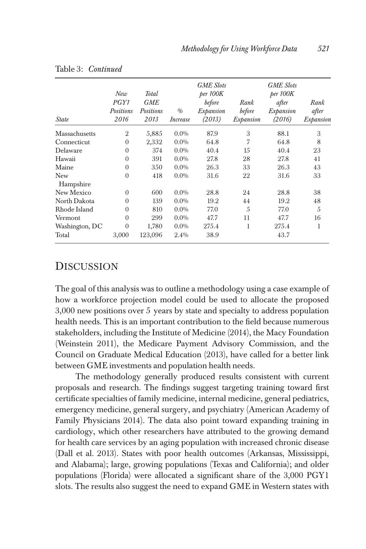| <b>State</b>            | New<br>PGY1<br>Positions<br>2016 | <b>Total</b><br><b>GME</b><br><b>Positions</b><br>2013 | $\%$<br><i>Increase</i> | <b>GME Slots</b><br>per 100K<br>before<br>Expansion<br>(2013) | Rank<br>before<br>Expansion | <b>GME Slots</b><br>per 100K<br>after<br>Expansion<br>(2016) | Rank<br>after<br>Expansion |
|-------------------------|----------------------------------|--------------------------------------------------------|-------------------------|---------------------------------------------------------------|-----------------------------|--------------------------------------------------------------|----------------------------|
| Massachusetts           | $\overline{2}$                   | 5,885                                                  | $0.0\%$                 | 87.9                                                          | 3                           | 88.1                                                         | 3                          |
| Connecticut             | $\theta$                         | 2,332                                                  | $0.0\%$                 | 64.8                                                          | 7                           | 64.8                                                         | 8                          |
| Delaware                | $\theta$                         | 374                                                    | $0.0\%$                 | 40.4                                                          | 15                          | 40.4                                                         | 23                         |
| Hawaii                  | $\theta$                         | 391                                                    | $0.0\%$                 | 27.8                                                          | 28                          | 27.8                                                         | 41                         |
| Maine                   | $\theta$                         | 350                                                    | $0.0\%$                 | 26.3                                                          | 33                          | 26.3                                                         | 43                         |
| <b>New</b><br>Hampshire | $\Omega$                         | 418                                                    | $0.0\%$                 | 31.6                                                          | 22                          | 31.6                                                         | 33                         |
| New Mexico              | $\theta$                         | 600                                                    | $0.0\%$                 | 28.8                                                          | 24                          | 28.8                                                         | 38                         |
| North Dakota            | $\theta$                         | 139                                                    | $0.0\%$                 | 19.2                                                          | 44                          | 19.2                                                         | 48                         |
| Rhode Island            | $\theta$                         | 810                                                    | $0.0\%$                 | 77.0                                                          | 5                           | 77.0                                                         | 5                          |
| Vermont                 | $\theta$                         | 299                                                    | $0.0\%$                 | 47.7                                                          | 11                          | 47.7                                                         | 16                         |
| Washington, DC          | $\mathbf{0}$                     | 1,780                                                  | $0.0\%$                 | 275.4                                                         | 1                           | 275.4                                                        | 1                          |
| Total                   | 3,000                            | 123,096                                                | 2.4%                    | 38.9                                                          |                             | 43.7                                                         |                            |

Table 3: Continued

## DISCUSSION

The goal of this analysis was to outline a methodology using a case example of how a workforce projection model could be used to allocate the proposed 3,000 new positions over 5 years by state and specialty to address population health needs. This is an important contribution to the field because numerous stakeholders, including the Institute of Medicine (2014), the Macy Foundation (Weinstein 2011), the Medicare Payment Advisory Commission, and the Council on Graduate Medical Education (2013), have called for a better link between GME investments and population health needs.

The methodology generally produced results consistent with current proposals and research. The findings suggest targeting training toward first certificate specialties of family medicine, internal medicine, general pediatrics, emergency medicine, general surgery, and psychiatry (American Academy of Family Physicians 2014). The data also point toward expanding training in cardiology, which other researchers have attributed to the growing demand for health care services by an aging population with increased chronic disease (Dall et al. 2013). States with poor health outcomes (Arkansas, Mississippi, and Alabama); large, growing populations (Texas and California); and older populations (Florida) were allocated a significant share of the 3,000 PGY1 slots. The results also suggest the need to expand GME in Western states with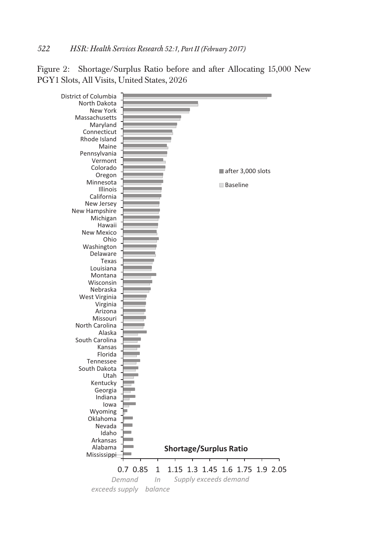Figure 2: Shortage/Surplus Ratio before and after Allocating 15,000 New PGY1 Slots, All Visits, United States, 2026

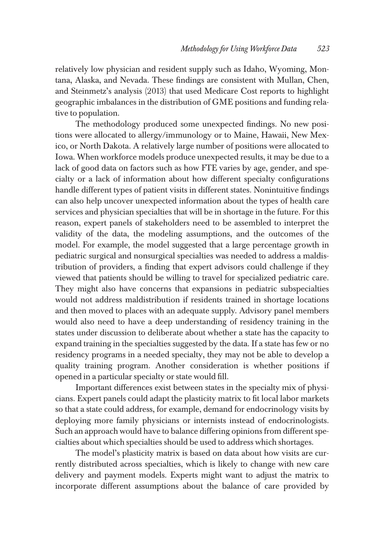relatively low physician and resident supply such as Idaho, Wyoming, Montana, Alaska, and Nevada. These findings are consistent with Mullan, Chen, and Steinmetz's analysis (2013) that used Medicare Cost reports to highlight geographic imbalances in the distribution of GME positions and funding relative to population.

The methodology produced some unexpected findings. No new positions were allocated to allergy/immunology or to Maine, Hawaii, New Mexico, or North Dakota. A relatively large number of positions were allocated to Iowa. When workforce models produce unexpected results, it may be due to a lack of good data on factors such as how FTE varies by age, gender, and specialty or a lack of information about how different specialty configurations handle different types of patient visits in different states. Nonintuitive findings can also help uncover unexpected information about the types of health care services and physician specialties that will be in shortage in the future. For this reason, expert panels of stakeholders need to be assembled to interpret the validity of the data, the modeling assumptions, and the outcomes of the model. For example, the model suggested that a large percentage growth in pediatric surgical and nonsurgical specialties was needed to address a maldistribution of providers, a finding that expert advisors could challenge if they viewed that patients should be willing to travel for specialized pediatric care. They might also have concerns that expansions in pediatric subspecialties would not address maldistribution if residents trained in shortage locations and then moved to places with an adequate supply. Advisory panel members would also need to have a deep understanding of residency training in the states under discussion to deliberate about whether a state has the capacity to expand training in the specialties suggested by the data. If a state has few or no residency programs in a needed specialty, they may not be able to develop a quality training program. Another consideration is whether positions if opened in a particular specialty or state would fill.

Important differences exist between states in the specialty mix of physicians. Expert panels could adapt the plasticity matrix to fit local labor markets so that a state could address, for example, demand for endocrinology visits by deploying more family physicians or internists instead of endocrinologists. Such an approach would have to balance differing opinions from different specialties about which specialties should be used to address which shortages.

The model's plasticity matrix is based on data about how visits are currently distributed across specialties, which is likely to change with new care delivery and payment models. Experts might want to adjust the matrix to incorporate different assumptions about the balance of care provided by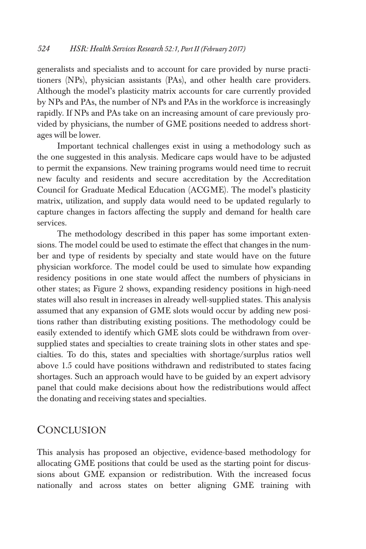generalists and specialists and to account for care provided by nurse practitioners (NPs), physician assistants (PAs), and other health care providers. Although the model's plasticity matrix accounts for care currently provided by NPs and PAs, the number of NPs and PAs in the workforce is increasingly rapidly. If NPs and PAs take on an increasing amount of care previously provided by physicians, the number of GME positions needed to address shortages will be lower.

Important technical challenges exist in using a methodology such as the one suggested in this analysis. Medicare caps would have to be adjusted to permit the expansions. New training programs would need time to recruit new faculty and residents and secure accreditation by the Accreditation Council for Graduate Medical Education (ACGME). The model's plasticity matrix, utilization, and supply data would need to be updated regularly to capture changes in factors affecting the supply and demand for health care services.

The methodology described in this paper has some important extensions. The model could be used to estimate the effect that changes in the number and type of residents by specialty and state would have on the future physician workforce. The model could be used to simulate how expanding residency positions in one state would affect the numbers of physicians in other states; as Figure 2 shows, expanding residency positions in high-need states will also result in increases in already well-supplied states. This analysis assumed that any expansion of GME slots would occur by adding new positions rather than distributing existing positions. The methodology could be easily extended to identify which GME slots could be withdrawn from oversupplied states and specialties to create training slots in other states and specialties. To do this, states and specialties with shortage/surplus ratios well above 1.5 could have positions withdrawn and redistributed to states facing shortages. Such an approach would have to be guided by an expert advisory panel that could make decisions about how the redistributions would affect the donating and receiving states and specialties.

### **CONCLUSION**

This analysis has proposed an objective, evidence-based methodology for allocating GME positions that could be used as the starting point for discussions about GME expansion or redistribution. With the increased focus nationally and across states on better aligning GME training with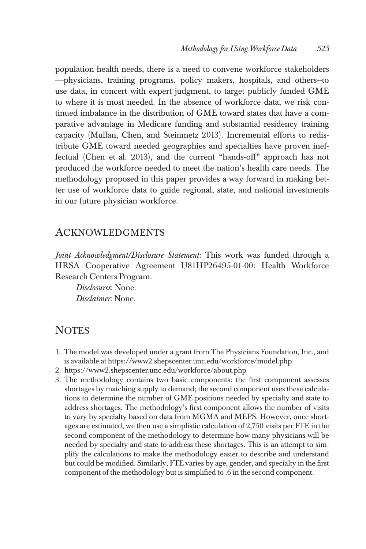population health needs, there is a need to convene workforce stakeholders —physicians, training programs, policy makers, hospitals, and others—to use data, in concert with expert judgment, to target publicly funded GME to where it is most needed. In the absence of workforce data, we risk continued imbalance in the distribution of GME toward states that have a comparative advantage in Medicare funding and substantial residency training capacity (Mullan, Chen, and Steinmetz 2013). Incremental efforts to redistribute GME toward needed geographies and specialties have proven ineffectual (Chen et al. 2013), and the current "hands-off" approach has not produced the workforce needed to meet the nation's health care needs. The methodology proposed in this paper provides a way forward in making better use of workforce data to guide regional, state, and national investments in our future physician workforce.

#### ACKNOWLEDGMENTS

Joint Acknowledgment/Disclosure Statement: This work was funded through a HRSA Cooperative Agreement U81HP26495-01-00: Health Workforce Research Centers Program.

Disclosures: None. Disclaimer: None.

## **NOTES**

- 1. The model was developed under a grant from The Physicians Foundation, Inc., and is available at<https://www2.shepscenter.unc.edu/workforce/model.php>
- 2.<https://www2.shepscenter.unc.edu/workforce/about.php>
- 3. The methodology contains two basic components: the first component assesses shortages by matching supply to demand; the second component uses these calculations to determine the number of GME positions needed by specialty and state to address shortages. The methodology's first component allows the number of visits to vary by specialty based on data from MGMA and MEPS. However, once shortages are estimated, we then use a simplistic calculation of 2,750 visits per FTE in the second component of the methodology to determine how many physicians will be needed by specialty and state to address these shortages. This is an attempt to simplify the calculations to make the methodology easier to describe and understand but could be modified. Similarly, FTE varies by age, gender, and specialty in the first component of the methodology but is simplified to .6 in the second component.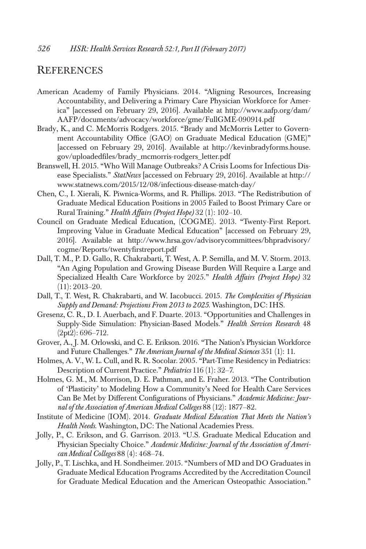## **REFERENCES**

- American Academy of Family Physicians. 2014. "Aligning Resources, Increasing Accountability, and Delivering a Primary Care Physician Workforce for America" [accessed on February 29, 2016]. Available at [http://www.aafp.org/dam/](http://www.aafp.org/dam/AAFP/documents/advocacy/workforce/gme/FullGME-090914.pdf) [AAFP/documents/advocacy/workforce/gme/FullGME-090914.pdf](http://www.aafp.org/dam/AAFP/documents/advocacy/workforce/gme/FullGME-090914.pdf)
- Brady, K., and C. McMorris Rodgers. 2015. "Brady and McMorris Letter to Government Accountability Office (GAO) on Graduate Medical Education (GME)" [accessed on February 29, 2016]. Available at [http://kevinbradyforms.house.](http://kevinbradyforms.house.gov/uploadedfiles/brady_mcmorris-rodgers_letter.pdf) [gov/uploadedfiles/brady\\_mcmorris-rodgers\\_letter.pdf](http://kevinbradyforms.house.gov/uploadedfiles/brady_mcmorris-rodgers_letter.pdf)
- Branswell, H. 2015. "Who Will Manage Outbreaks? A Crisis Looms for Infectious Disease Specialists." StatNews [accessed on February 29, 2016]. Available at [http://](http://www.statnews.com/2015/12/08/infectious-disease-match-day/) [www.statnews.com/2015/12/08/infectious-disease-match-day/](http://www.statnews.com/2015/12/08/infectious-disease-match-day/)
- Chen, C., I. Xierali, K. Piwnica-Worms, and R. Phillips. 2013. "The Redistribution of Graduate Medical Education Positions in 2005 Failed to Boost Primary Care or Rural Training." Health Affairs (Project Hope) 32 (1): 102–10.
- Council on Graduate Medical Education, (COGME). 2013. "Twenty-First Report. Improving Value in Graduate Medical Education" [accessed on February 29, 2016]. Available at [http://www.hrsa.gov/advisorycommittees/bhpradvisory/](http://www.hrsa.gov/advisorycommittees/bhpradvisory/cogme/Reports/twentyfirstreport.pdf) [cogme/Reports/twentyfirstreport.pdf](http://www.hrsa.gov/advisorycommittees/bhpradvisory/cogme/Reports/twentyfirstreport.pdf)
- Dall, T. M., P. D. Gallo, R. Chakrabarti, T. West, A. P. Semilla, and M. V. Storm. 2013. "An Aging Population and Growing Disease Burden Will Require a Large and Specialized Health Care Workforce by 2025." Health Affairs (Project Hope) 32  $(11): 2013 - 20.$
- Dall, T., T. West, R. Chakrabarti, and W. Iacobucci. 2015. The Complexities of Physician Supply and Demand: Projections From 2013 to 2025. Washington, DC: IHS.
- Gresenz, C. R., D. I. Auerbach, and F. Duarte. 2013. "Opportunities and Challenges in Supply-Side Simulation: Physician-Based Models." Health Services Research 48 (2pt2): 696–712.
- Grover, A., J. M. Orlowski, and C. E. Erikson. 2016. "The Nation's Physician Workforce and Future Challenges." The American Journal of the Medical Sciences 351 (1): 11.
- Holmes, A. V., W. L. Cull, and R. R. Socolar. 2005. "Part-Time Residency in Pediatrics: Description of Current Practice." Pediatrics 116 (1): 32–7.
- Holmes, G. M., M. Morrison, D. E. Pathman, and E. Fraher. 2013. "The Contribution of 'Plasticity' to Modeling How a Community's Need for Health Care Services Can Be Met by Different Configurations of Physicians." Academic Medicine: Journal of the Association of American Medical Colleges 88 (12): 1877–82.
- Institute of Medicine (IOM). 2014. Graduate Medical Education That Meets the Nation's Health Needs. Washington, DC: The National Academies Press.
- Jolly, P., C. Erikson, and G. Garrison. 2013. "U.S. Graduate Medical Education and Physician Specialty Choice." Academic Medicine: Journal of the Association of American Medical Colleges 88 (4): 468–74.
- Jolly, P., T. Lischka, and H. Sondheimer. 2015. "Numbers of MD and DO Graduates in Graduate Medical Education Programs Accredited by the Accreditation Council for Graduate Medical Education and the American Osteopathic Association."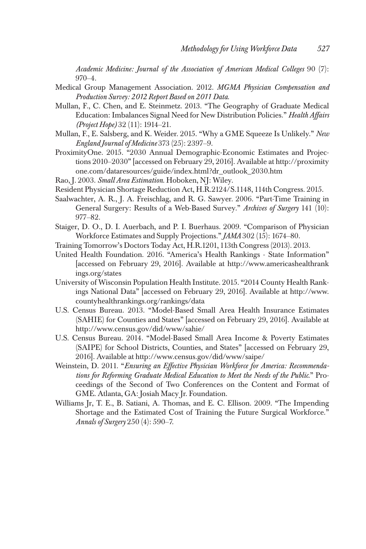Academic Medicine: Journal of the Association of American Medical Colleges 90 (7): 970–4.

- Medical Group Management Association. 2012. MGMA Physician Compensation and Production Survey: 2012 Report Based on 2011 Data.
- Mullan, F., C. Chen, and E. Steinmetz. 2013. "The Geography of Graduate Medical Education: Imbalances Signal Need for New Distribution Policies." Health Affairs (Project Hope) 32 (11): 1914–21.
- Mullan, F., E. Salsberg, and K. Weider. 2015. "Why a GME Squeeze Is Unlikely." New England Journal of Medicine 373 (25): 2397–9.
- ProximityOne. 2015. "2030 Annual Demographic-Economic Estimates and Projections 2010–2030" [accessed on February 29, 2016]. Available at [http://proximity](http://proximityone.com/dataresources/guide/index.html?dr_outlook_2030.htm) [one.com/dataresources/guide/index.html?dr\\_outlook\\_2030.htm](http://proximityone.com/dataresources/guide/index.html?dr_outlook_2030.htm)
- Rao, J. 2003. Small Area Estimation. Hoboken, NJ: Wiley.
- Resident Physician Shortage Reduction Act, H.R.2124/S.1148, 114th Congress. 2015.
- Saalwachter, A. R., J. A. Freischlag, and R. G. Sawyer. 2006. "Part-Time Training in General Surgery: Results of a Web-Based Survey." Archives of Surgery 141 (10): 977–82.
- Staiger, D. O., D. I. Auerbach, and P. I. Buerhaus. 2009. "Comparison of Physician Workforce Estimates and Supply Projections." *JAMA* 302 (15): 1674–80.
- Training Tomorrow's Doctors Today Act, H.R.1201, 113th Congress (2013). 2013.
- United Health Foundation. 2016. "America's Health Rankings State Information" [accessed on February 29, 2016]. Available at [http://www.americashealthrank](http://www.americashealthrankings.org/states) [ings.org/states](http://www.americashealthrankings.org/states)
- University of Wisconsin Population Health Institute. 2015. "2014 County Health Rankings National Data" [accessed on February 29, 2016]. Available at [http://www.](http://www.countyhealthrankings.org/rankings/data) [countyhealthrankings.org/rankings/data](http://www.countyhealthrankings.org/rankings/data)
- U.S. Census Bureau. 2013. "Model-Based Small Area Health Insurance Estimates (SAHIE) for Counties and States" [accessed on February 29, 2016]. Available at <http://www.census.gov/did/www/sahie/>
- U.S. Census Bureau. 2014. "Model-Based Small Area Income & Poverty Estimates (SAIPE) for School Districts, Counties, and States" [accessed on February 29, 2016]. Available at<http://www.census.gov/did/www/saipe/>
- Weinstein, D. 2011. "Ensuring an Effective Physician Workforce for America: Recommendations for Reforming Graduate Medical Education to Meet the Needs of the Public." Proceedings of the Second of Two Conferences on the Content and Format of GME. Atlanta, GA: Josiah Macy Jr. Foundation.
- Williams Jr, T. E., B. Satiani, A. Thomas, and E. C. Ellison. 2009. "The Impending Shortage and the Estimated Cost of Training the Future Surgical Workforce." Annals of Surgery 250 (4): 590–7.